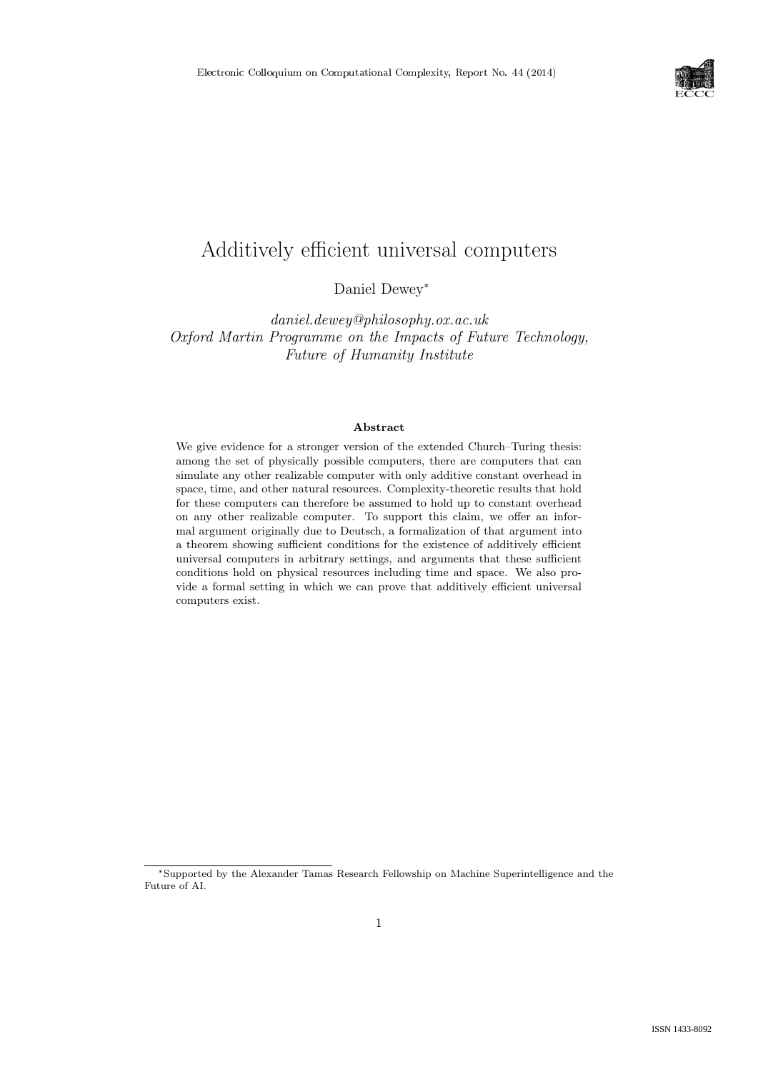

# Additively efficient universal computers

Daniel Dewey<sup>∗</sup>

daniel.dewey@philosophy.ox.ac.uk Oxford Martin Programme on the Impacts of Future Technology, Future of Humanity Institute

#### Abstract

We give evidence for a stronger version of the extended Church–Turing thesis: among the set of physically possible computers, there are computers that can simulate any other realizable computer with only additive constant overhead in space, time, and other natural resources. Complexity-theoretic results that hold for these computers can therefore be assumed to hold up to constant overhead on any other realizable computer. To support this claim, we offer an informal argument originally due to Deutsch, a formalization of that argument into a theorem showing sufficient conditions for the existence of additively efficient universal computers in arbitrary settings, and arguments that these sufficient conditions hold on physical resources including time and space. We also provide a formal setting in which we can prove that additively efficient universal computers exist.

<sup>∗</sup>Supported by the Alexander Tamas Research Fellowship on Machine Superintelligence and the Future of AI.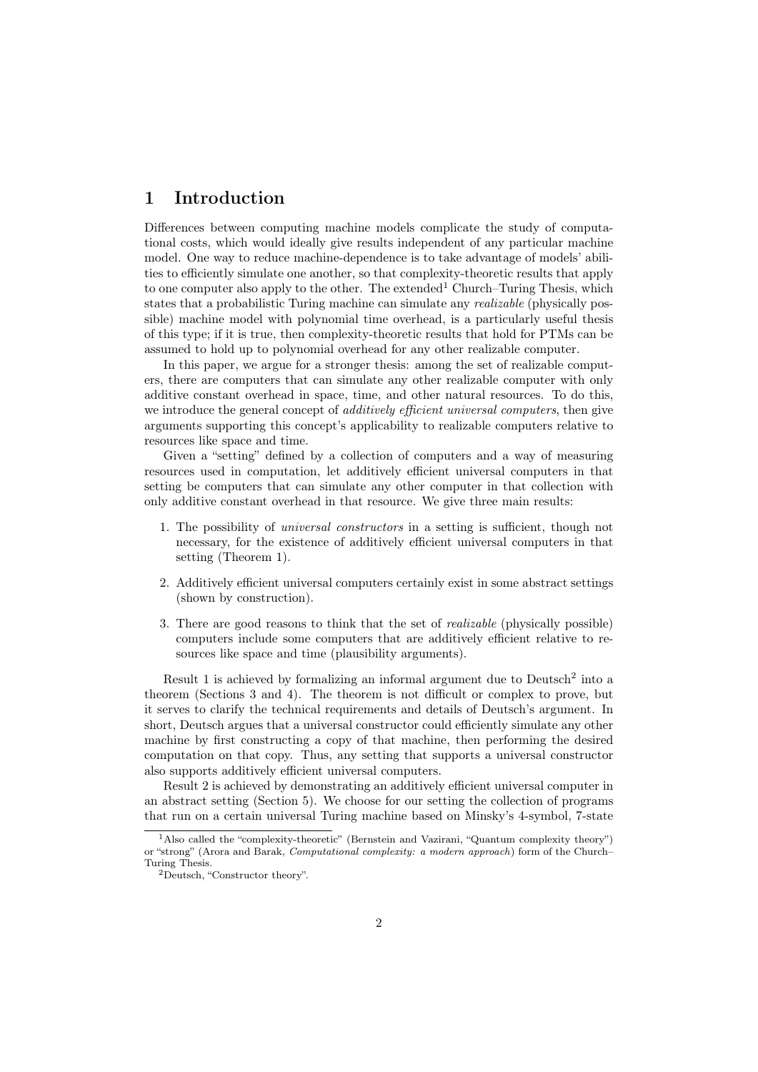# 1 Introduction

Differences between computing machine models complicate the study of computational costs, which would ideally give results independent of any particular machine model. One way to reduce machine-dependence is to take advantage of models' abilities to efficiently simulate one another, so that complexity-theoretic results that apply to one computer also apply to the other. The extended<sup>1</sup> Church–Turing Thesis, which states that a probabilistic Turing machine can simulate any *realizable* (physically possible) machine model with polynomial time overhead, is a particularly useful thesis of this type; if it is true, then complexity-theoretic results that hold for PTMs can be assumed to hold up to polynomial overhead for any other realizable computer.

In this paper, we argue for a stronger thesis: among the set of realizable computers, there are computers that can simulate any other realizable computer with only additive constant overhead in space, time, and other natural resources. To do this, we introduce the general concept of *additively efficient universal computers*, then give arguments supporting this concept's applicability to realizable computers relative to resources like space and time.

Given a "setting" defined by a collection of computers and a way of measuring resources used in computation, let additively efficient universal computers in that setting be computers that can simulate any other computer in that collection with only additive constant overhead in that resource. We give three main results:

- 1. The possibility of universal constructors in a setting is sufficient, though not necessary, for the existence of additively efficient universal computers in that setting (Theorem 1).
- 2. Additively efficient universal computers certainly exist in some abstract settings (shown by construction).
- 3. There are good reasons to think that the set of realizable (physically possible) computers include some computers that are additively efficient relative to resources like space and time (plausibility arguments).

Result 1 is achieved by formalizing an informal argument due to  $Deutsch<sup>2</sup>$  into a theorem (Sections 3 and 4). The theorem is not difficult or complex to prove, but it serves to clarify the technical requirements and details of Deutsch's argument. In short, Deutsch argues that a universal constructor could efficiently simulate any other machine by first constructing a copy of that machine, then performing the desired computation on that copy. Thus, any setting that supports a universal constructor also supports additively efficient universal computers.

Result 2 is achieved by demonstrating an additively efficient universal computer in an abstract setting (Section 5). We choose for our setting the collection of programs that run on a certain universal Turing machine based on Minsky's 4-symbol, 7-state

<sup>&</sup>lt;sup>1</sup>Also called the "complexity-theoretic" (Bernstein and Vazirani, "Quantum complexity theory") or "strong" (Arora and Barak, Computational complexity: a modern approach) form of the Church– Turing Thesis.

<sup>2</sup>Deutsch, "Constructor theory".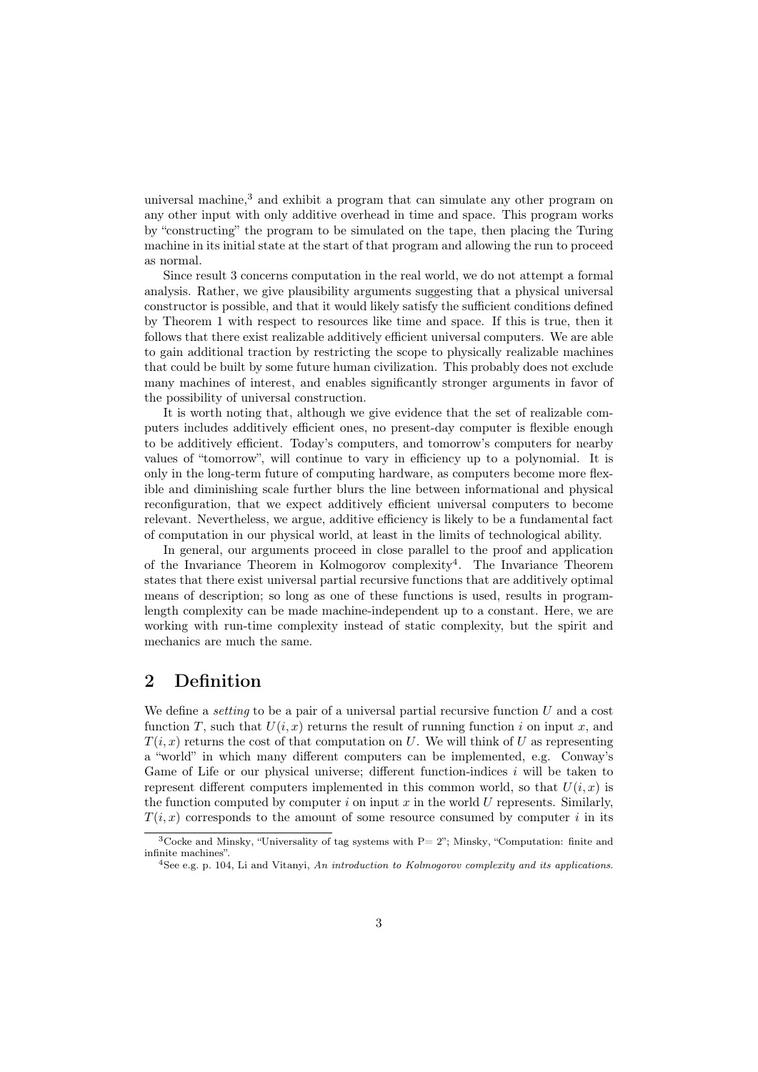universal machine, $3$  and exhibit a program that can simulate any other program on any other input with only additive overhead in time and space. This program works by "constructing" the program to be simulated on the tape, then placing the Turing machine in its initial state at the start of that program and allowing the run to proceed as normal.

Since result 3 concerns computation in the real world, we do not attempt a formal analysis. Rather, we give plausibility arguments suggesting that a physical universal constructor is possible, and that it would likely satisfy the sufficient conditions defined by Theorem 1 with respect to resources like time and space. If this is true, then it follows that there exist realizable additively efficient universal computers. We are able to gain additional traction by restricting the scope to physically realizable machines that could be built by some future human civilization. This probably does not exclude many machines of interest, and enables significantly stronger arguments in favor of the possibility of universal construction.

It is worth noting that, although we give evidence that the set of realizable computers includes additively efficient ones, no present-day computer is flexible enough to be additively efficient. Today's computers, and tomorrow's computers for nearby values of "tomorrow", will continue to vary in efficiency up to a polynomial. It is only in the long-term future of computing hardware, as computers become more flexible and diminishing scale further blurs the line between informational and physical reconfiguration, that we expect additively efficient universal computers to become relevant. Nevertheless, we argue, additive efficiency is likely to be a fundamental fact of computation in our physical world, at least in the limits of technological ability.

In general, our arguments proceed in close parallel to the proof and application of the Invariance Theorem in Kolmogorov complexity<sup>4</sup>. The Invariance Theorem states that there exist universal partial recursive functions that are additively optimal means of description; so long as one of these functions is used, results in programlength complexity can be made machine-independent up to a constant. Here, we are working with run-time complexity instead of static complexity, but the spirit and mechanics are much the same.

# 2 Definition

We define a *setting* to be a pair of a universal partial recursive function  $U$  and a cost function T, such that  $U(i, x)$  returns the result of running function i on input x, and  $T(i, x)$  returns the cost of that computation on U. We will think of U as representing a "world" in which many different computers can be implemented, e.g. Conway's Game of Life or our physical universe; different function-indices  $i$  will be taken to represent different computers implemented in this common world, so that  $U(i, x)$  is the function computed by computer i on input x in the world  $U$  represents. Similarly,  $T(i, x)$  corresponds to the amount of some resource consumed by computer i in its

<sup>&</sup>lt;sup>3</sup>Cocke and Minsky, "Universality of tag systems with  $P= 2$ "; Minsky, "Computation: finite and infinite machines".

 $4$ See e.g. p. 104, Li and Vitanyi, An introduction to Kolmogorov complexity and its applications.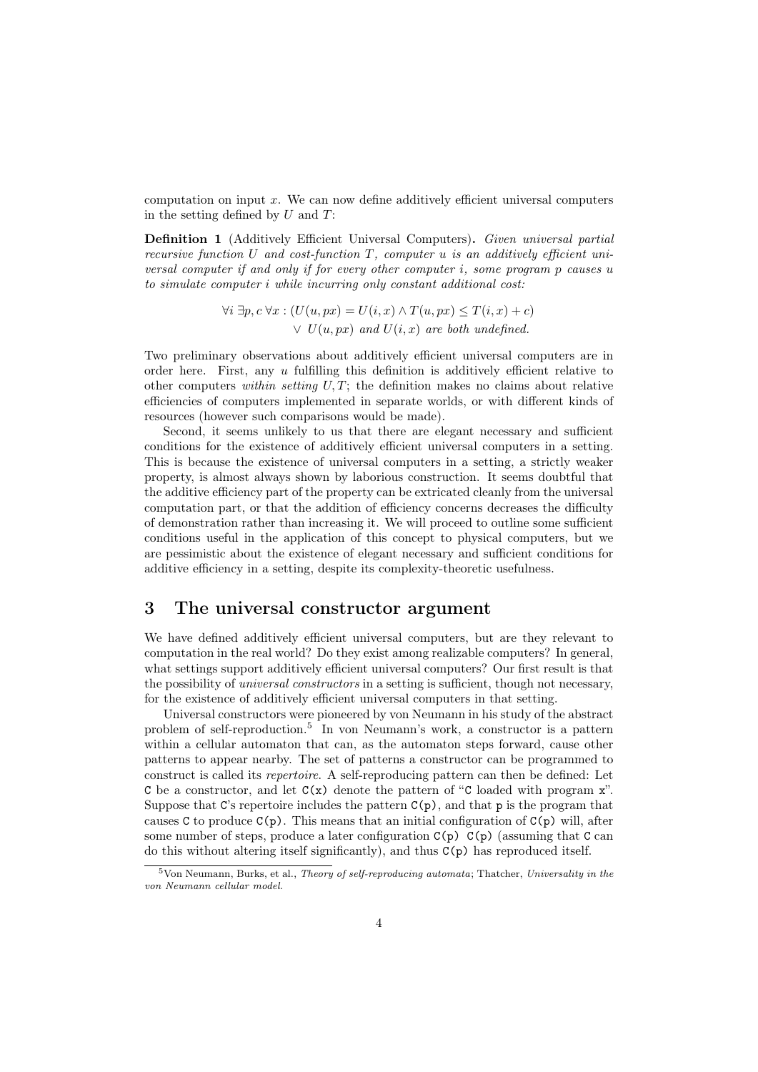computation on input  $x$ . We can now define additively efficient universal computers in the setting defined by  $U$  and  $T$ :

Definition 1 (Additively Efficient Universal Computers). Given universal partial recursive function U and cost-function  $T$ , computer u is an additively efficient universal computer if and only if for every other computer i, some program p causes u to simulate computer i while incurring only constant additional cost:

$$
\forall i \ \exists p, c \ \forall x : (U(u, px) = U(i, x) \land T(u, px) \le T(i, x) + c)
$$
  
 
$$
\lor U(u, px) \ and \ U(i, x) \ are \ both \ undefined.
$$

Two preliminary observations about additively efficient universal computers are in order here. First, any  $u$  fulfilling this definition is additively efficient relative to other computers within setting  $U, T$ ; the definition makes no claims about relative efficiencies of computers implemented in separate worlds, or with different kinds of resources (however such comparisons would be made).

Second, it seems unlikely to us that there are elegant necessary and sufficient conditions for the existence of additively efficient universal computers in a setting. This is because the existence of universal computers in a setting, a strictly weaker property, is almost always shown by laborious construction. It seems doubtful that the additive efficiency part of the property can be extricated cleanly from the universal computation part, or that the addition of efficiency concerns decreases the difficulty of demonstration rather than increasing it. We will proceed to outline some sufficient conditions useful in the application of this concept to physical computers, but we are pessimistic about the existence of elegant necessary and sufficient conditions for additive efficiency in a setting, despite its complexity-theoretic usefulness.

# 3 The universal constructor argument

We have defined additively efficient universal computers, but are they relevant to computation in the real world? Do they exist among realizable computers? In general, what settings support additively efficient universal computers? Our first result is that the possibility of *universal constructors* in a setting is sufficient, though not necessary, for the existence of additively efficient universal computers in that setting.

Universal constructors were pioneered by von Neumann in his study of the abstract problem of self-reproduction.<sup>5</sup> In von Neumann's work, a constructor is a pattern within a cellular automaton that can, as the automaton steps forward, cause other patterns to appear nearby. The set of patterns a constructor can be programmed to construct is called its repertoire. A self-reproducing pattern can then be defined: Let C be a constructor, and let  $C(x)$  denote the pattern of "C loaded with program x". Suppose that C's repertoire includes the pattern  $C(p)$ , and that p is the program that causes C to produce  $C(p)$ . This means that an initial configuration of  $C(p)$  will, after some number of steps, produce a later configuration  $C(p)$   $C(p)$  (assuming that C can do this without altering itself significantly), and thus C(p) has reproduced itself.

 $5$ Von Neumann, Burks, et al., Theory of self-reproducing automata; Thatcher, Universality in the von Neumann cellular model.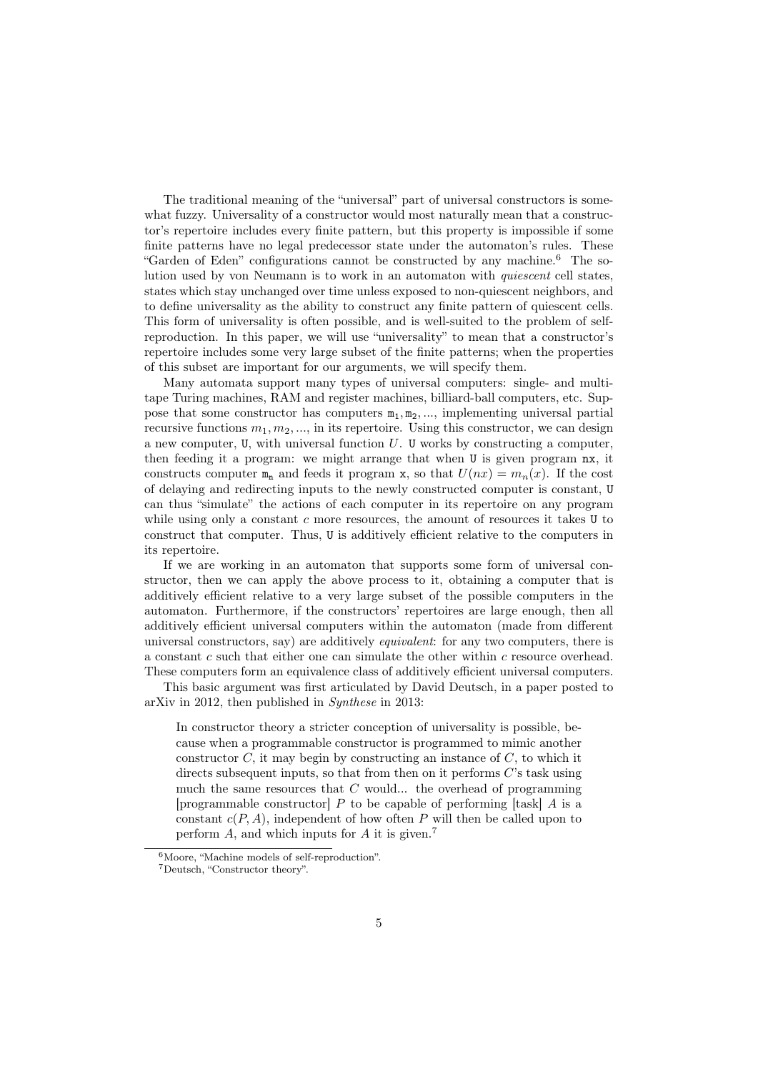The traditional meaning of the "universal" part of universal constructors is somewhat fuzzy. Universality of a constructor would most naturally mean that a constructor's repertoire includes every finite pattern, but this property is impossible if some finite patterns have no legal predecessor state under the automaton's rules. These "Garden of Eden" configurations cannot be constructed by any machine.<sup>6</sup> The solution used by von Neumann is to work in an automaton with quiescent cell states, states which stay unchanged over time unless exposed to non-quiescent neighbors, and to define universality as the ability to construct any finite pattern of quiescent cells. This form of universality is often possible, and is well-suited to the problem of selfreproduction. In this paper, we will use "universality" to mean that a constructor's repertoire includes some very large subset of the finite patterns; when the properties of this subset are important for our arguments, we will specify them.

Many automata support many types of universal computers: single- and multitape Turing machines, RAM and register machines, billiard-ball computers, etc. Suppose that some constructor has computers  $m_1, m_2, \ldots$ , implementing universal partial recursive functions  $m_1, m_2, \ldots$ , in its repertoire. Using this constructor, we can design a new computer,  $U$ , with universal function  $U$ .  $U$  works by constructing a computer, then feeding it a program: we might arrange that when U is given program nx, it constructs computer  $m_n$  and feeds it program x, so that  $U(nx) = m_n(x)$ . If the cost of delaying and redirecting inputs to the newly constructed computer is constant, U can thus "simulate" the actions of each computer in its repertoire on any program while using only a constant  $c$  more resources, the amount of resources it takes  $U$  to construct that computer. Thus, U is additively efficient relative to the computers in its repertoire.

If we are working in an automaton that supports some form of universal constructor, then we can apply the above process to it, obtaining a computer that is additively efficient relative to a very large subset of the possible computers in the automaton. Furthermore, if the constructors' repertoires are large enough, then all additively efficient universal computers within the automaton (made from different universal constructors, say) are additively equivalent: for any two computers, there is a constant  $c$  such that either one can simulate the other within  $c$  resource overhead. These computers form an equivalence class of additively efficient universal computers.

This basic argument was first articulated by David Deutsch, in a paper posted to arXiv in 2012, then published in Synthese in 2013:

In constructor theory a stricter conception of universality is possible, because when a programmable constructor is programmed to mimic another constructor  $C$ , it may begin by constructing an instance of  $C$ , to which it directs subsequent inputs, so that from then on it performs  $C$ 's task using much the same resources that  $C$  would... the overhead of programming [programmable constructor]  $P$  to be capable of performing [task]  $\overline{A}$  is a constant  $c(P, A)$ , independent of how often P will then be called upon to perform  $A$ , and which inputs for  $A$  it is given.<sup>7</sup>

<sup>6</sup>Moore, "Machine models of self-reproduction".

<sup>7</sup>Deutsch, "Constructor theory".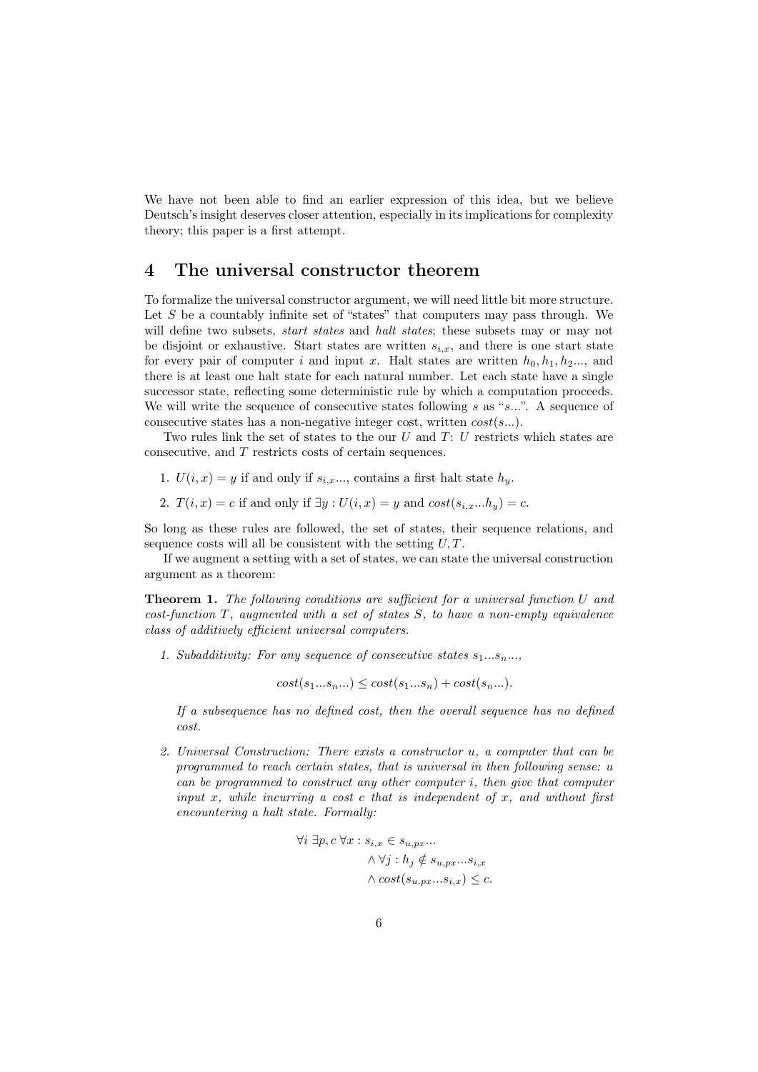We have not been able to find an earlier expression of this idea, but we believe Deutsch's insight deserves closer attention, especially in its implications for complexity theory; this paper is a first attempt.

### 4 The universal constructor theorem

To formalize the universal constructor argument, we will need little bit more structure. Let  $S$  be a countably infinite set of "states" that computers may pass through. We will define two subsets, *start states* and *halt states*; these subsets may or may not be disjoint or exhaustive. Start states are written  $s_{i,x}$ , and there is one start state for every pair of computer i and input x. Halt states are written  $h_0, h_1, h_2, \ldots$ , and there is at least one halt state for each natural number. Let each state have a single successor state, reflecting some deterministic rule by which a computation proceeds. We will write the sequence of consecutive states following s as " $s...$ ". A sequence of consecutive states has a non-negative integer cost, written  $cost(s...)$ .

Two rules link the set of states to the our  $U$  and  $T: U$  restricts which states are consecutive, and T restricts costs of certain sequences.

- 1.  $U(i, x) = y$  if and only if  $s_{i,x}$ ..., contains a first halt state  $h_y$ .
- 2.  $T(i, x) = c$  if and only if  $\exists y : U(i, x) = y$  and  $cost(s_{i,x}...h_{y}) = c$ .

So long as these rules are followed, the set of states, their sequence relations, and sequence costs will all be consistent with the setting  $U, T$ .

If we augment a setting with a set of states, we can state the universal construction argument as a theorem:

Theorem 1. The following conditions are sufficient for a universal function U and  $cost\text{-}function T$ , augmented with a set of states S, to have a non-empty equivalence class of additively efficient universal computers.

1. Subadditivity: For any sequence of consecutive states  $s_1...s_n...$ ,

 $cost(s_1...s_n...) \le cost(s_1...s_n) + cost(s_n...).$ 

If a subsequence has no defined cost, then the overall sequence has no defined cost.

2. Universal Construction: There exists a constructor u, a computer that can be programmed to reach certain states, that is universal in then following sense: u can be programmed to construct any other computer i, then give that computer input  $x$ , while incurring a cost  $c$  that is independent of  $x$ , and without first encountering a halt state. Formally:

$$
\begin{aligned} \forall i \ \exists p,c \ \forall x: s_{i,x} \in s_{u,px}...\\ \land \ \forall j: h_j \notin s_{u,px}...s_{i,x}\\ \land\ cost(s_{u,px}...s_{i,x}) \leq c. \end{aligned}
$$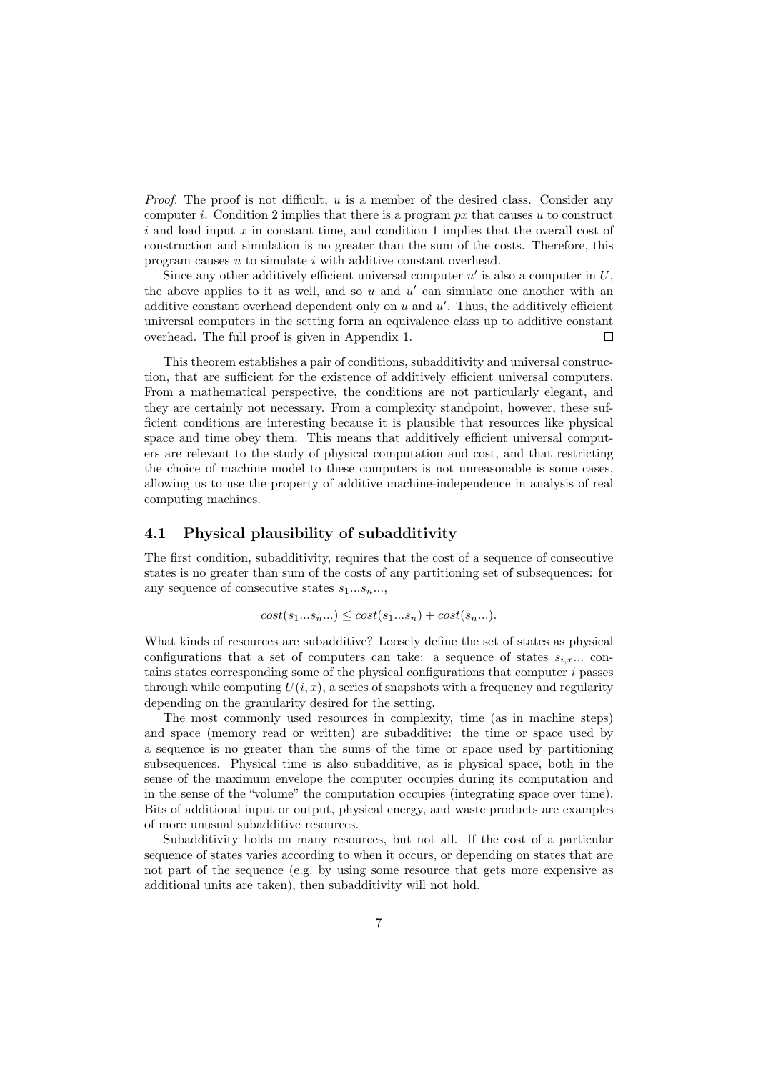*Proof.* The proof is not difficult;  $u$  is a member of the desired class. Consider any computer i. Condition 2 implies that there is a program  $px$  that causes u to construct  $i$  and load input x in constant time, and condition 1 implies that the overall cost of construction and simulation is no greater than the sum of the costs. Therefore, this program causes u to simulate i with additive constant overhead.

Since any other additively efficient universal computer  $u'$  is also a computer in  $U$ , the above applies to it as well, and so  $u$  and  $u'$  can simulate one another with an additive constant overhead dependent only on  $u$  and  $u'$ . Thus, the additively efficient universal computers in the setting form an equivalence class up to additive constant overhead. The full proof is given in Appendix 1.  $\Box$ 

This theorem establishes a pair of conditions, subadditivity and universal construction, that are sufficient for the existence of additively efficient universal computers. From a mathematical perspective, the conditions are not particularly elegant, and they are certainly not necessary. From a complexity standpoint, however, these sufficient conditions are interesting because it is plausible that resources like physical space and time obey them. This means that additively efficient universal computers are relevant to the study of physical computation and cost, and that restricting the choice of machine model to these computers is not unreasonable is some cases, allowing us to use the property of additive machine-independence in analysis of real computing machines.

### 4.1 Physical plausibility of subadditivity

The first condition, subadditivity, requires that the cost of a sequence of consecutive states is no greater than sum of the costs of any partitioning set of subsequences: for any sequence of consecutive states  $s_1...s_n...$ 

$$
cost(s_1...s_n...) \le cost(s_1...s_n) + cost(s_n...).
$$

What kinds of resources are subadditive? Loosely define the set of states as physical configurations that a set of computers can take: a sequence of states  $s_{i,x}$ ... contains states corresponding some of the physical configurations that computer i passes through while computing  $U(i, x)$ , a series of snapshots with a frequency and regularity depending on the granularity desired for the setting.

The most commonly used resources in complexity, time (as in machine steps) and space (memory read or written) are subadditive: the time or space used by a sequence is no greater than the sums of the time or space used by partitioning subsequences. Physical time is also subadditive, as is physical space, both in the sense of the maximum envelope the computer occupies during its computation and in the sense of the "volume" the computation occupies (integrating space over time). Bits of additional input or output, physical energy, and waste products are examples of more unusual subadditive resources.

Subadditivity holds on many resources, but not all. If the cost of a particular sequence of states varies according to when it occurs, or depending on states that are not part of the sequence (e.g. by using some resource that gets more expensive as additional units are taken), then subadditivity will not hold.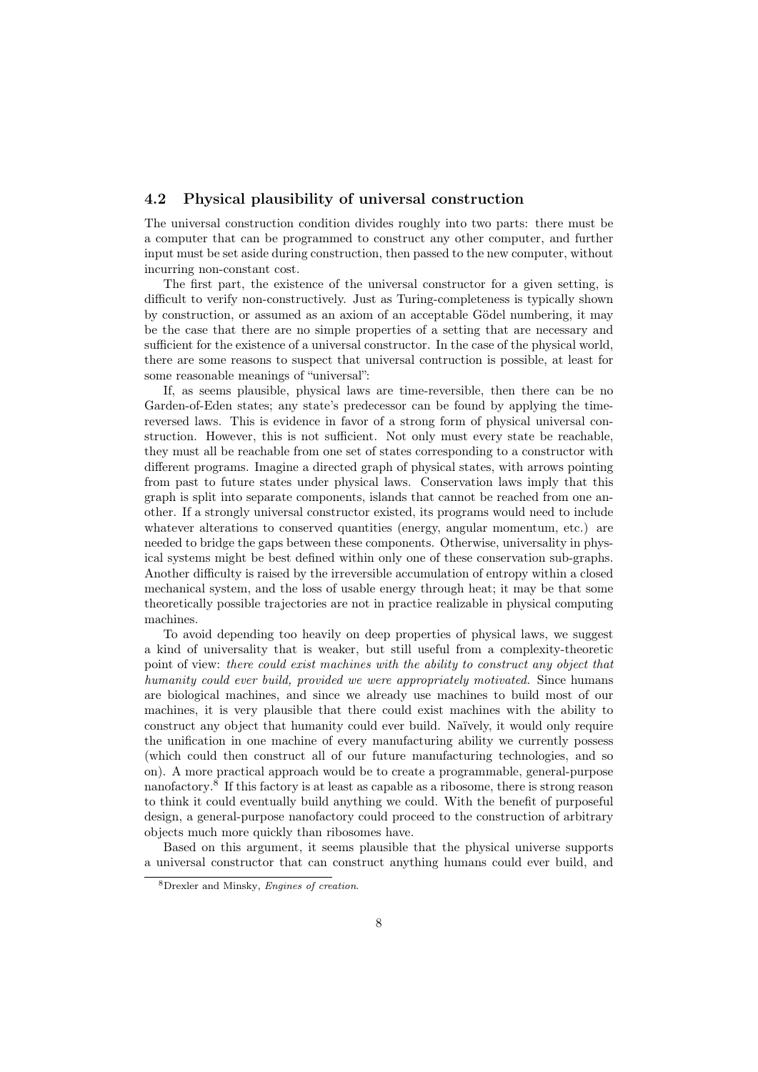#### 4.2 Physical plausibility of universal construction

The universal construction condition divides roughly into two parts: there must be a computer that can be programmed to construct any other computer, and further input must be set aside during construction, then passed to the new computer, without incurring non-constant cost.

The first part, the existence of the universal constructor for a given setting, is difficult to verify non-constructively. Just as Turing-completeness is typically shown by construction, or assumed as an axiom of an acceptable Gödel numbering, it may be the case that there are no simple properties of a setting that are necessary and sufficient for the existence of a universal constructor. In the case of the physical world, there are some reasons to suspect that universal contruction is possible, at least for some reasonable meanings of "universal":

If, as seems plausible, physical laws are time-reversible, then there can be no Garden-of-Eden states; any state's predecessor can be found by applying the timereversed laws. This is evidence in favor of a strong form of physical universal construction. However, this is not sufficient. Not only must every state be reachable, they must all be reachable from one set of states corresponding to a constructor with different programs. Imagine a directed graph of physical states, with arrows pointing from past to future states under physical laws. Conservation laws imply that this graph is split into separate components, islands that cannot be reached from one another. If a strongly universal constructor existed, its programs would need to include whatever alterations to conserved quantities (energy, angular momentum, etc.) are needed to bridge the gaps between these components. Otherwise, universality in physical systems might be best defined within only one of these conservation sub-graphs. Another difficulty is raised by the irreversible accumulation of entropy within a closed mechanical system, and the loss of usable energy through heat; it may be that some theoretically possible trajectories are not in practice realizable in physical computing machines.

To avoid depending too heavily on deep properties of physical laws, we suggest a kind of universality that is weaker, but still useful from a complexity-theoretic point of view: there could exist machines with the ability to construct any object that humanity could ever build, provided we were appropriately motivated. Since humans are biological machines, and since we already use machines to build most of our machines, it is very plausible that there could exist machines with the ability to construct any object that humanity could ever build. Naïvely, it would only require the unification in one machine of every manufacturing ability we currently possess (which could then construct all of our future manufacturing technologies, and so on). A more practical approach would be to create a programmable, general-purpose nanofactory.<sup>8</sup> If this factory is at least as capable as a ribosome, there is strong reason to think it could eventually build anything we could. With the benefit of purposeful design, a general-purpose nanofactory could proceed to the construction of arbitrary objects much more quickly than ribosomes have.

Based on this argument, it seems plausible that the physical universe supports a universal constructor that can construct anything humans could ever build, and

<sup>8</sup>Drexler and Minsky, Engines of creation.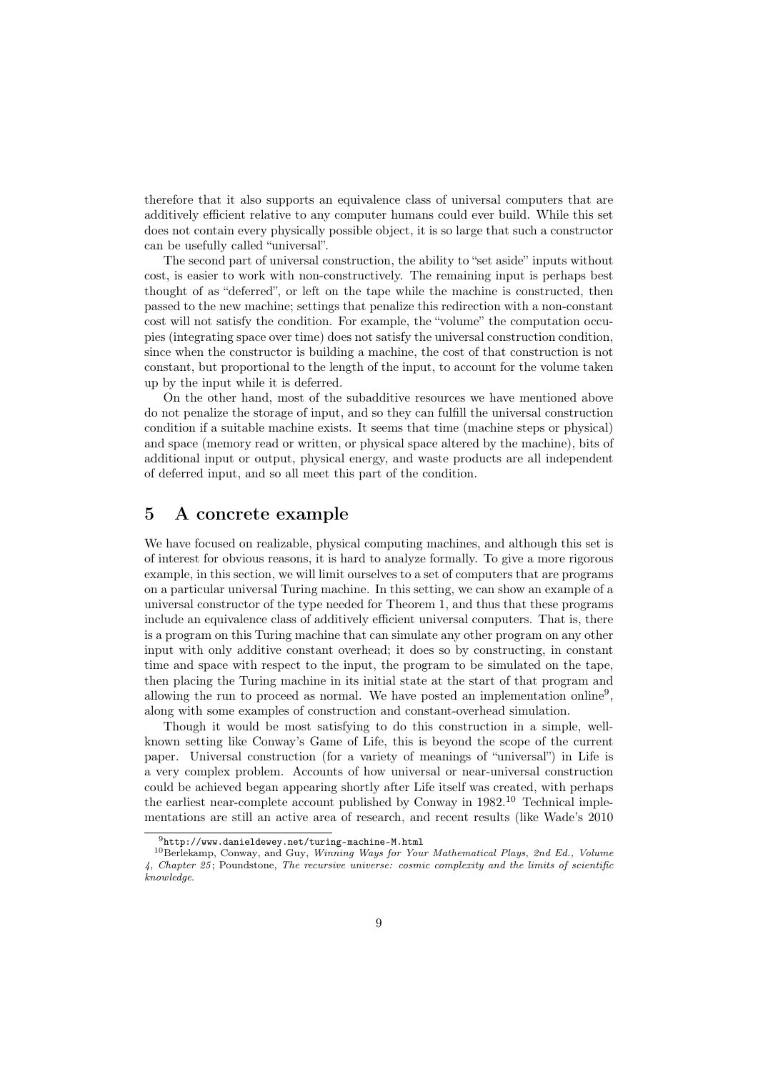therefore that it also supports an equivalence class of universal computers that are additively efficient relative to any computer humans could ever build. While this set does not contain every physically possible object, it is so large that such a constructor can be usefully called "universal".

The second part of universal construction, the ability to "set aside" inputs without cost, is easier to work with non-constructively. The remaining input is perhaps best thought of as "deferred", or left on the tape while the machine is constructed, then passed to the new machine; settings that penalize this redirection with a non-constant cost will not satisfy the condition. For example, the "volume" the computation occupies (integrating space over time) does not satisfy the universal construction condition, since when the constructor is building a machine, the cost of that construction is not constant, but proportional to the length of the input, to account for the volume taken up by the input while it is deferred.

On the other hand, most of the subadditive resources we have mentioned above do not penalize the storage of input, and so they can fulfill the universal construction condition if a suitable machine exists. It seems that time (machine steps or physical) and space (memory read or written, or physical space altered by the machine), bits of additional input or output, physical energy, and waste products are all independent of deferred input, and so all meet this part of the condition.

### 5 A concrete example

We have focused on realizable, physical computing machines, and although this set is of interest for obvious reasons, it is hard to analyze formally. To give a more rigorous example, in this section, we will limit ourselves to a set of computers that are programs on a particular universal Turing machine. In this setting, we can show an example of a universal constructor of the type needed for Theorem 1, and thus that these programs include an equivalence class of additively efficient universal computers. That is, there is a program on this Turing machine that can simulate any other program on any other input with only additive constant overhead; it does so by constructing, in constant time and space with respect to the input, the program to be simulated on the tape, then placing the Turing machine in its initial state at the start of that program and allowing the run to proceed as normal. We have posted an implementation online<sup>9</sup>, along with some examples of construction and constant-overhead simulation.

Though it would be most satisfying to do this construction in a simple, wellknown setting like Conway's Game of Life, this is beyond the scope of the current paper. Universal construction (for a variety of meanings of "universal") in Life is a very complex problem. Accounts of how universal or near-universal construction could be achieved began appearing shortly after Life itself was created, with perhaps the earliest near-complete account published by Conway in 1982.<sup>10</sup> Technical implementations are still an active area of research, and recent results (like Wade's 2010

 $9$ http://www.danieldewey.net/turing-machine-M.html

<sup>10</sup>Berlekamp, Conway, and Guy, Winning Ways for Your Mathematical Plays, 2nd Ed., Volume 4, Chapter 25 ; Poundstone, The recursive universe: cosmic complexity and the limits of scientific knowledge.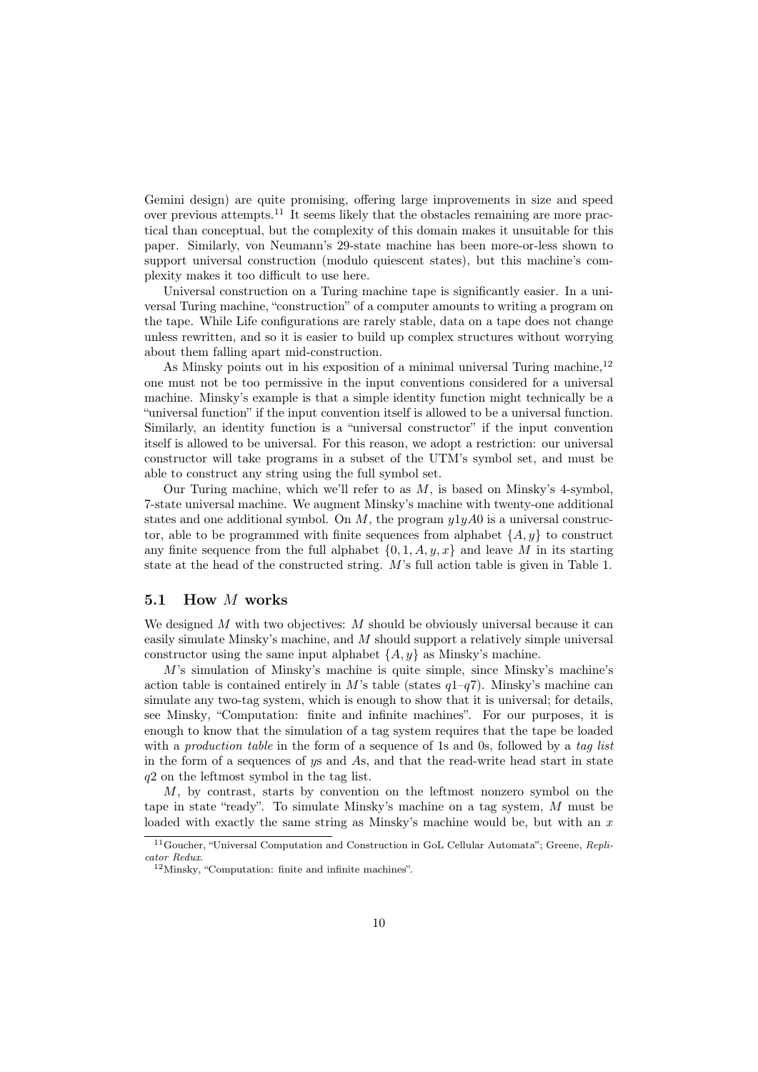Gemini design) are quite promising, offering large improvements in size and speed over previous attempts.<sup>11</sup> It seems likely that the obstacles remaining are more practical than conceptual, but the complexity of this domain makes it unsuitable for this paper. Similarly, von Neumann's 29-state machine has been more-or-less shown to support universal construction (modulo quiescent states), but this machine's complexity makes it too difficult to use here.

Universal construction on a Turing machine tape is significantly easier. In a universal Turing machine, "construction" of a computer amounts to writing a program on the tape. While Life configurations are rarely stable, data on a tape does not change unless rewritten, and so it is easier to build up complex structures without worrying about them falling apart mid-construction.

As Minsky points out in his exposition of a minimal universal Turing machine,  $12$ one must not be too permissive in the input conventions considered for a universal machine. Minsky's example is that a simple identity function might technically be a "universal function" if the input convention itself is allowed to be a universal function. Similarly, an identity function is a "universal constructor" if the input convention itself is allowed to be universal. For this reason, we adopt a restriction: our universal constructor will take programs in a subset of the UTM's symbol set, and must be able to construct any string using the full symbol set.

Our Turing machine, which we'll refer to as  $M$ , is based on Minsky's 4-symbol, 7-state universal machine. We augment Minsky's machine with twenty-one additional states and one additional symbol. On  $M$ , the program  $y1yA0$  is a universal constructor, able to be programmed with finite sequences from alphabet  $\{A, y\}$  to construct any finite sequence from the full alphabet  $\{0, 1, A, y, x\}$  and leave M in its starting state at the head of the constructed string. M's full action table is given in Table 1.

### 5.1 How M works

We designed M with two objectives: M should be obviously universal because it can easily simulate Minsky's machine, and M should support a relatively simple universal constructor using the same input alphabet  $\{A, y\}$  as Minsky's machine.

M's simulation of Minsky's machine is quite simple, since Minsky's machine's action table is contained entirely in M's table (states  $q1-q7$ ). Minsky's machine can simulate any two-tag system, which is enough to show that it is universal; for details, see Minsky, "Computation: finite and infinite machines". For our purposes, it is enough to know that the simulation of a tag system requires that the tape be loaded with a *production table* in the form of a sequence of 1s and 0s, followed by a tag list in the form of a sequences of ys and As, and that the read-write head start in state q2 on the leftmost symbol in the tag list.

M, by contrast, starts by convention on the leftmost nonzero symbol on the tape in state "ready". To simulate Minsky's machine on a tag system, M must be loaded with exactly the same string as Minsky's machine would be, but with an  $x$ 

<sup>&</sup>lt;sup>11</sup>Goucher, "Universal Computation and Construction in GoL Cellular Automata"; Greene, Replicator Redux.

<sup>12</sup>Minsky, "Computation: finite and infinite machines".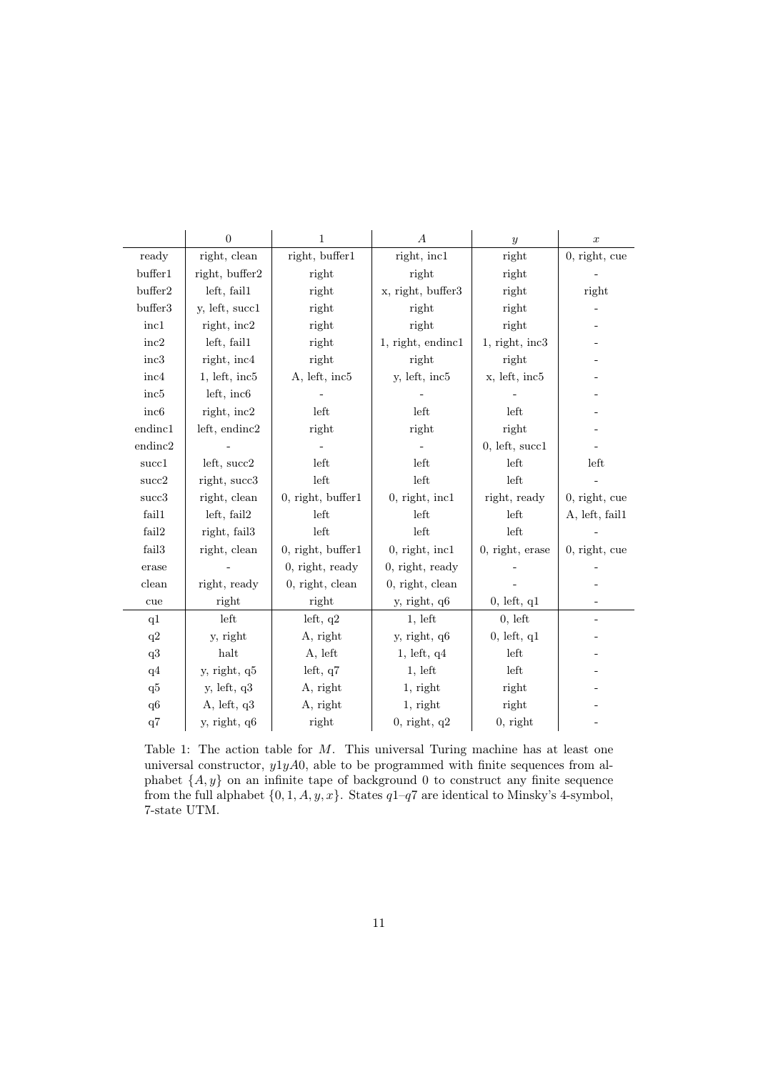|                   | $\overline{0}$  | $\mathbf{1}$           | $\boldsymbol{A}$  | $\mathcal{Y}$     | $\boldsymbol{x}$ |
|-------------------|-----------------|------------------------|-------------------|-------------------|------------------|
| ready             | right, clean    | right, buffer1         | right, incl       | right             | 0, right, cue    |
| buffer1           | right, buffer2  | right                  | right             | right             |                  |
| buffer2           | left, fail1     | right                  | x, right, buffer3 | right             | right            |
| buffer3           | y, left, succ1  | right                  | right             | right             |                  |
| inc1              | right, inc2     | right                  | right             | right             |                  |
| $\mathrm{inc}2$   | left, fail1     | right                  | 1, right, endinc1 | $1,$ right, inc3  |                  |
| inc3              | right, inc4     | right                  | right             | right             |                  |
| inc4              | 1, lett, inc5   | A, left, inc5          | y, left, inc5     | x, left, inc5     |                  |
| inc5              | left, inc6      |                        |                   |                   |                  |
| inc <sub>6</sub>  | right, inc2     | left                   | left              | left              |                  |
| endinc1           | left, endinc2   | right                  | right             | right             |                  |
| endinc2           |                 |                        |                   | 0, let, succ1     |                  |
| succ1             | left, succ2     | left                   | left              | left              | left             |
| succ2             | right, succ3    | left                   | left              | left              |                  |
| succ3             | right, clean    | $0,$ right, buffer $1$ | $0,$ right, incl  | right, ready      | $0,$ right, cue  |
| fail1             | left, fail2     | left                   | left              | left              | A, left, fail1   |
| fail2             | right, fail3    | left                   | left              | left              |                  |
| fail <sub>3</sub> | right, clean    | $0,$ right, buffer $1$ | $0,$ right, incl  | $0,$ right, erase | $0,$ right, cue  |
| erase             |                 | $0,$ right, ready      | 0, right, ready   |                   |                  |
| clean             | right, ready    | $0,$ right, clean      | $0,$ right, clean |                   |                  |
| cue               | right           | right                  | y, right, q6      | 0, left, q1       |                  |
| q1                | left            | left, $q2$             | 1, left           | 0, left           |                  |
| q2                | y, right        | A, right               | y, right, q6      | 0, left, q1       |                  |
| q3                | halt            | A, left                | 1, left, q4       | left              |                  |
| q4                | y, right, q5    | left, $q7$             | 1, left           | left              |                  |
| q5                | $y,$ left, $q3$ | A, right               | 1, right          | right             |                  |
| q6                | A, left, q3     | A, right               | 1, right          | right             |                  |
| q7                | y, right, q6    | right                  | $0,$ right, $q2$  | $0,$ right        |                  |

Table 1: The action table for M. This universal Turing machine has at least one universal constructor,  $y1yA0$ , able to be programmed with finite sequences from alphabet  $\{A, y\}$  on an infinite tape of background 0 to construct any finite sequence from the full alphabet  $\{0, 1, A, y, x\}$ . States  $q1-q7$  are identical to Minsky's 4-symbol, 7-state UTM.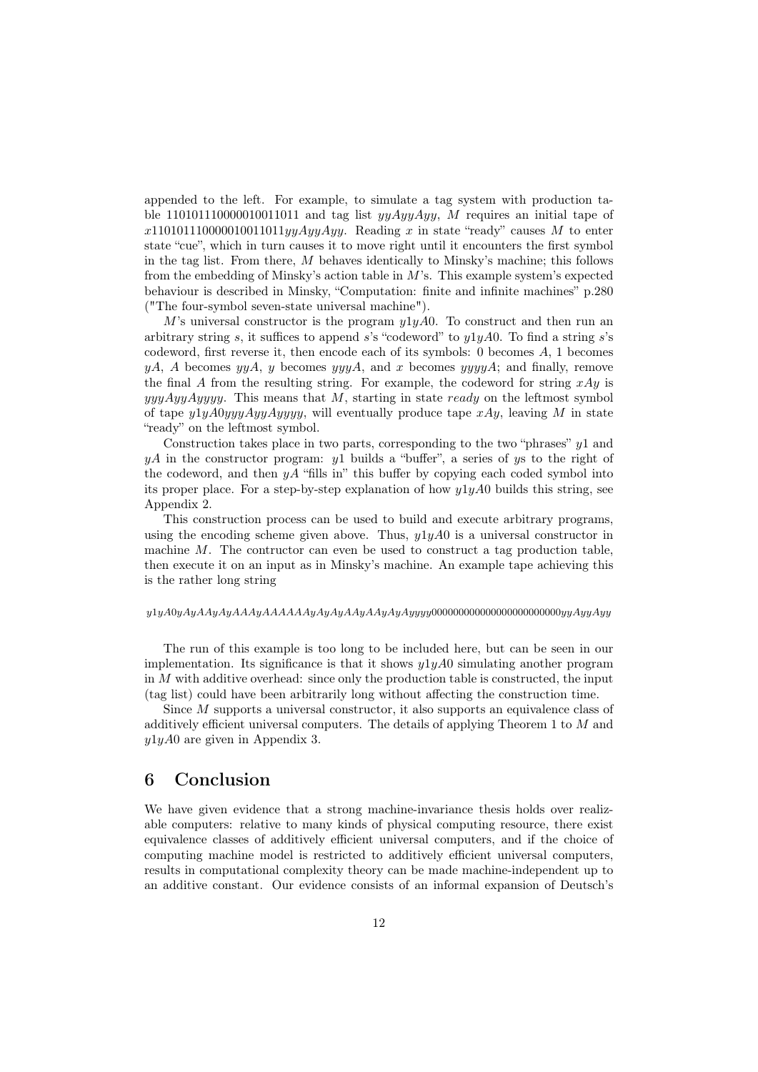appended to the left. For example, to simulate a tag system with production table 110101110000010011011 and tag list  $yyAyyAyy$ , M requires an initial tape of  $x110101110000010011011yyAyyAyy.$  Reading x in state "ready" causes M to enter state "cue", which in turn causes it to move right until it encounters the first symbol in the tag list. From there, M behaves identically to Minsky's machine; this follows from the embedding of Minsky's action table in  $M$ 's. This example system's expected behaviour is described in Minsky, "Computation: finite and infinite machines" p.280 ("The four-symbol seven-state universal machine").

M's universal constructor is the program  $y_1y_4A0$ . To construct and then run an arbitrary string s, it suffices to append s's "codeword" to  $y1yA0$ . To find a string s's codeword, first reverse it, then encode each of its symbols: 0 becomes A, 1 becomes yA, A becomes yyA, y becomes yyyA, and x becomes yyyyA; and finally, remove the final A from the resulting string. For example, the codeword for string  $xAy$  is  $\gamma$ yyy $\gamma$ yyy $\gamma$ . This means that M, starting in state ready on the leftmost symbol of tape  $y_1yA0yxyAyAyyyy$ , will eventually produce tape  $xAy$ , leaving M in state "ready" on the leftmost symbol.

Construction takes place in two parts, corresponding to the two "phrases"  $y_1$  and  $yA$  in the constructor program: y u builds a "buffer", a series of ys to the right of the codeword, and then  $yA$  "fills in" this buffer by copying each coded symbol into its proper place. For a step-by-step explanation of how  $y1yA0$  builds this string, see Appendix 2.

This construction process can be used to build and execute arbitrary programs, using the encoding scheme given above. Thus,  $y1yA0$  is a universal constructor in machine  $M$ . The contructor can even be used to construct a tag production table, then execute it on an input as in Minsky's machine. An example tape achieving this is the rather long string

#### $y1yA0yAyAAAyAAAyAAAAAAyAyAyAxyAyAyAyyyy00000000000000000000000yyAyyy$

The run of this example is too long to be included here, but can be seen in our implementation. Its significance is that it shows  $y1yA0$  simulating another program in  $M$  with additive overhead: since only the production table is constructed, the input (tag list) could have been arbitrarily long without affecting the construction time.

Since M supports a universal constructor, it also supports an equivalence class of additively efficient universal computers. The details of applying Theorem 1 to M and  $y1yA0$  are given in Appendix 3.

# 6 Conclusion

We have given evidence that a strong machine-invariance thesis holds over realizable computers: relative to many kinds of physical computing resource, there exist equivalence classes of additively efficient universal computers, and if the choice of computing machine model is restricted to additively efficient universal computers, results in computational complexity theory can be made machine-independent up to an additive constant. Our evidence consists of an informal expansion of Deutsch's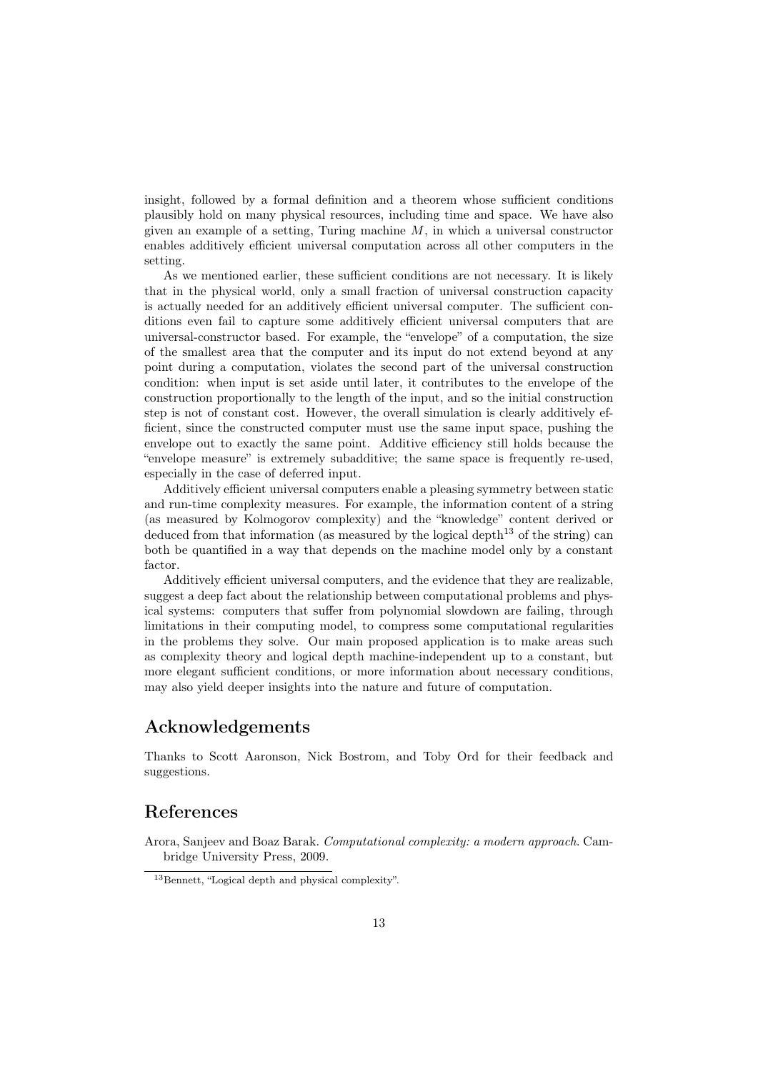insight, followed by a formal definition and a theorem whose sufficient conditions plausibly hold on many physical resources, including time and space. We have also given an example of a setting, Turing machine  $M$ , in which a universal constructor enables additively efficient universal computation across all other computers in the setting.

As we mentioned earlier, these sufficient conditions are not necessary. It is likely that in the physical world, only a small fraction of universal construction capacity is actually needed for an additively efficient universal computer. The sufficient conditions even fail to capture some additively efficient universal computers that are universal-constructor based. For example, the "envelope" of a computation, the size of the smallest area that the computer and its input do not extend beyond at any point during a computation, violates the second part of the universal construction condition: when input is set aside until later, it contributes to the envelope of the construction proportionally to the length of the input, and so the initial construction step is not of constant cost. However, the overall simulation is clearly additively efficient, since the constructed computer must use the same input space, pushing the envelope out to exactly the same point. Additive efficiency still holds because the "envelope measure" is extremely subadditive; the same space is frequently re-used, especially in the case of deferred input.

Additively efficient universal computers enable a pleasing symmetry between static and run-time complexity measures. For example, the information content of a string (as measured by Kolmogorov complexity) and the "knowledge" content derived or deduced from that information (as measured by the logical depth<sup>13</sup> of the string) can both be quantified in a way that depends on the machine model only by a constant factor.

Additively efficient universal computers, and the evidence that they are realizable, suggest a deep fact about the relationship between computational problems and physical systems: computers that suffer from polynomial slowdown are failing, through limitations in their computing model, to compress some computational regularities in the problems they solve. Our main proposed application is to make areas such as complexity theory and logical depth machine-independent up to a constant, but more elegant sufficient conditions, or more information about necessary conditions, may also yield deeper insights into the nature and future of computation.

# Acknowledgements

Thanks to Scott Aaronson, Nick Bostrom, and Toby Ord for their feedback and suggestions.

# References

Arora, Sanjeev and Boaz Barak. Computational complexity: a modern approach. Cambridge University Press, 2009.

<sup>13</sup>Bennett, "Logical depth and physical complexity".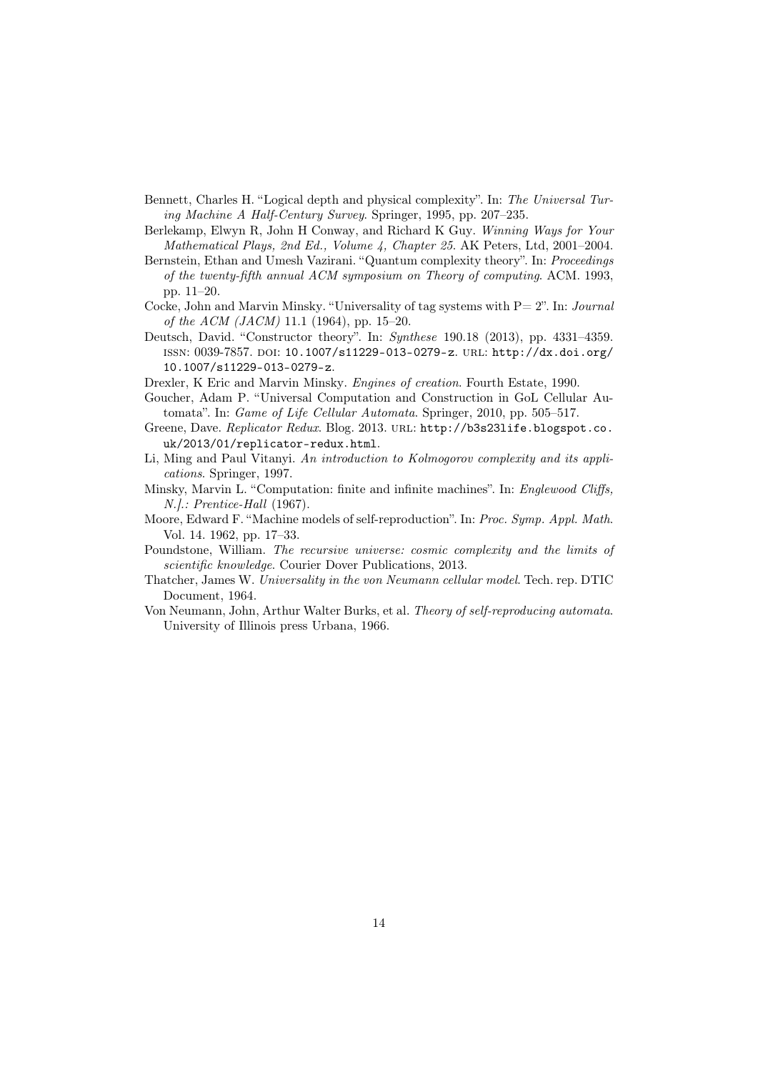- Bennett, Charles H. "Logical depth and physical complexity". In: The Universal Turing Machine A Half-Century Survey. Springer, 1995, pp. 207–235.
- Berlekamp, Elwyn R, John H Conway, and Richard K Guy. Winning Ways for Your Mathematical Plays, 2nd Ed., Volume 4, Chapter 25. AK Peters, Ltd, 2001–2004.
- Bernstein, Ethan and Umesh Vazirani. "Quantum complexity theory". In: Proceedings of the twenty-fifth annual ACM symposium on Theory of computing. ACM. 1993, pp. 11–20.
- Cocke, John and Marvin Minsky. "Universality of tag systems with  $P=2$ ". In: *Journal* of the ACM (JACM) 11.1 (1964), pp. 15–20.
- Deutsch, David. "Constructor theory". In: Synthese 190.18 (2013), pp. 4331–4359. issn: 0039-7857. doi: 10.1007/s11229-013-0279-z. url: http://dx.doi.org/ 10.1007/s11229-013-0279-z.
- Drexler, K Eric and Marvin Minsky. Engines of creation. Fourth Estate, 1990.
- Goucher, Adam P. "Universal Computation and Construction in GoL Cellular Automata". In: Game of Life Cellular Automata. Springer, 2010, pp. 505–517.
- Greene, Dave. Replicator Redux. Blog. 2013. URL: http://b3s23life.blogspot.co. uk/2013/01/replicator-redux.html.
- Li, Ming and Paul Vitanyi. An introduction to Kolmogorov complexity and its applications. Springer, 1997.
- Minsky, Marvin L. "Computation: finite and infinite machines". In: Englewood Cliffs, N.].: Prentice-Hall (1967).
- Moore, Edward F. "Machine models of self-reproduction". In: Proc. Symp. Appl. Math. Vol. 14. 1962, pp. 17–33.
- Poundstone, William. The recursive universe: cosmic complexity and the limits of scientific knowledge. Courier Dover Publications, 2013.
- Thatcher, James W. Universality in the von Neumann cellular model. Tech. rep. DTIC Document, 1964.
- Von Neumann, John, Arthur Walter Burks, et al. Theory of self-reproducing automata. University of Illinois press Urbana, 1966.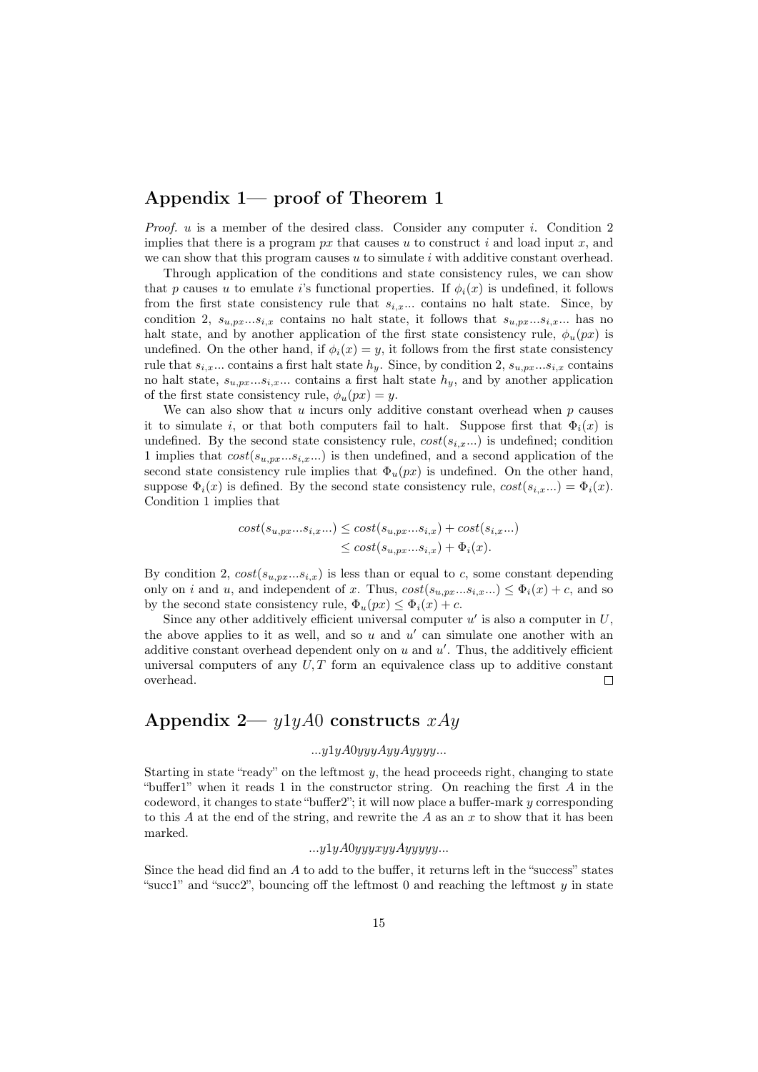# Appendix 1— proof of Theorem 1

*Proof.*  $u$  is a member of the desired class. Consider any computer i. Condition 2 implies that there is a program  $px$  that causes u to construct i and load input x, and we can show that this program causes  $u$  to simulate  $i$  with additive constant overhead.

Through application of the conditions and state consistency rules, we can show that p causes u to emulate i's functional properties. If  $\phi_i(x)$  is undefined, it follows from the first state consistency rule that  $s_{i,x}$ ... contains no halt state. Since, by condition 2,  $s_{u,px}...s_{i,x}$  contains no halt state, it follows that  $s_{u,px}...s_{i,x}...$  has no halt state, and by another application of the first state consistency rule,  $\phi_u(px)$  is undefined. On the other hand, if  $\phi_i(x) = y$ , it follows from the first state consistency rule that  $s_{i,x}$ ... contains a first halt state  $h_y$ . Since, by condition 2,  $s_{u,px}...s_{i,x}$  contains no halt state,  $s_{u,p_x...s_{i,x}...}$  contains a first halt state  $h_y$ , and by another application of the first state consistency rule,  $\phi_u(px) = y$ .

We can also show that  $u$  incurs only additive constant overhead when  $p$  causes it to simulate i, or that both computers fail to halt. Suppose first that  $\Phi_i(x)$  is undefined. By the second state consistency rule,  $cost(s_{i,x}...)$  is undefined; condition 1 implies that  $cost(s_{u,nx}...s_{i,x}...)$  is then undefined, and a second application of the second state consistency rule implies that  $\Phi_u(px)$  is undefined. On the other hand, suppose  $\Phi_i(x)$  is defined. By the second state consistency rule,  $cost(s_{i,x}...)=\Phi_i(x)$ . Condition 1 implies that

$$
cost(s_{u,px}...s_{i,x}...) \le cost(s_{u,px}...s_{i,x}) + cost(s_{i,x}...)
$$
  

$$
\le cost(s_{u,px}...s_{i,x}) + \Phi_i(x).
$$

By condition 2,  $cost(s_{u,px}...s_{i,x})$  is less than or equal to c, some constant depending only on i and u, and independent of x. Thus,  $cost(s_{u,px}...s_{i,x}...) \leq \Phi_i(x) + c$ , and so by the second state consistency rule,  $\Phi_u(px) \leq \Phi_i(x) + c$ .

Since any other additively efficient universal computer  $u'$  is also a computer in  $U$ , the above applies to it as well, and so  $u$  and  $u'$  can simulate one another with an additive constant overhead dependent only on  $u$  and  $u'$ . Thus, the additively efficient universal computers of any  $U, T$  form an equivalence class up to additive constant overhead.  $\Box$ 

# Appendix 2—  $y1yA0$  constructs  $xAy$

### $...y1yA0yyyAyyAyyyy...$

Starting in state "ready" on the leftmost  $y$ , the head proceeds right, changing to state "buffer1" when it reads 1 in the constructor string. On reaching the first A in the codeword, it changes to state "buffer2"; it will now place a buffer-mark y corresponding to this A at the end of the string, and rewrite the A as an x to show that it has been marked.

#### $...y1yA0yyyxyyAyyyyy...$

Since the head did find an A to add to the buffer, it returns left in the "success" states "succ1" and "succ2", bouncing off the leftmost 0 and reaching the leftmost  $\gamma$  in state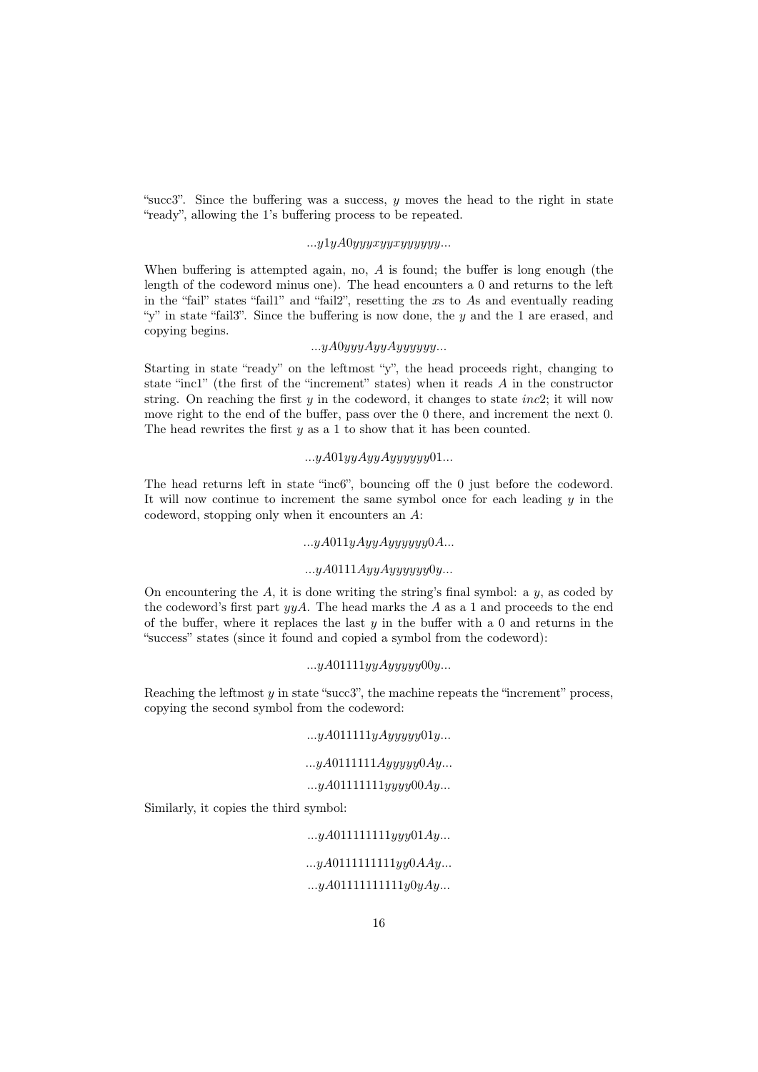"succ3". Since the buffering was a success,  $y$  moves the head to the right in state "ready", allowing the 1's buffering process to be repeated.

### $...y1yA0yyxyxyxyyyyyy...$

When buffering is attempted again, no,  $A$  is found; the buffer is long enough (the length of the codeword minus one). The head encounters a 0 and returns to the left in the "fail" states "fail1" and "fail2", resetting the xs to As and eventually reading "y" in state "fail3". Since the buffering is now done, the  $y$  and the 1 are erased, and copying begins.

### $...yA0yyyAyyAyyyyyy...$

Starting in state "ready" on the leftmost "y", the head proceeds right, changing to state "inc1" (the first of the "increment" states) when it reads A in the constructor string. On reaching the first  $y$  in the codeword, it changes to state *inc*2; it will now move right to the end of the buffer, pass over the 0 there, and increment the next 0. The head rewrites the first  $y$  as a 1 to show that it has been counted.

### $...yA01yyAyyAyyyyyy01...$

The head returns left in state "inc6", bouncing off the 0 just before the codeword. It will now continue to increment the same symbol once for each leading  $y$  in the codeword, stopping only when it encounters an A:

### $...yA011yAyyAyyyyy0A...$

### $...yA0111AyyAyyyyyy0y...$

On encountering the  $A$ , it is done writing the string's final symbol: a  $y$ , as coded by the codeword's first part  $\gamma yA$ . The head marks the A as a 1 and proceeds to the end of the buffer, where it replaces the last  $y$  in the buffer with a 0 and returns in the "success" states (since it found and copied a symbol from the codeword):

#### $...yA01111yuAuuuuu00u...$

Reaching the leftmost  $y$  in state "succ3", the machine repeats the "increment" process, copying the second symbol from the codeword:

#### $...yA011111yAyyyyy01y...$

### $...yA0111111Ayyyyy0Ay...$

### $...yA01111111yyyy00Ay...$

Similarly, it copies the third symbol:

 $...yA011111111yyy01Ay...$ 

### $...yA0111111111yy0AAy...$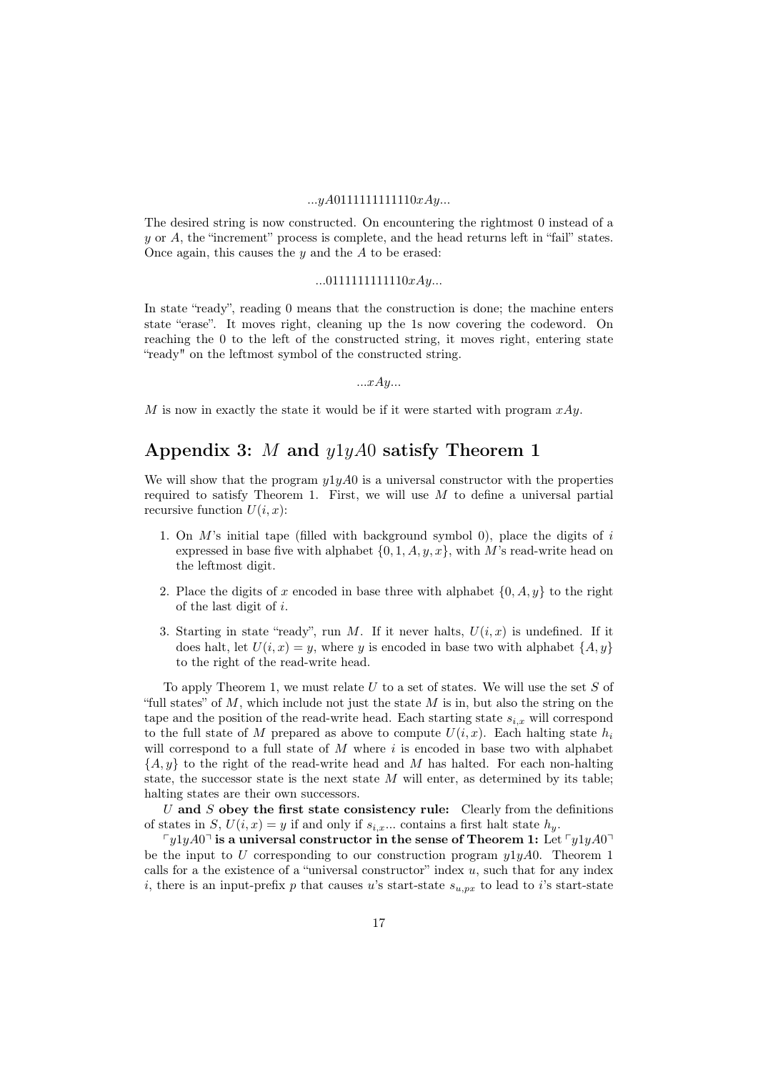#### $...yA0111111111110xAy...$

The desired string is now constructed. On encountering the rightmost 0 instead of a  $y$  or  $A$ , the "increment" process is complete, and the head returns left in "fail" states. Once again, this causes the  $y$  and the  $A$  to be erased:

#### $...0111111111110xAy...$

In state "ready", reading 0 means that the construction is done; the machine enters state "erase". It moves right, cleaning up the 1s now covering the codeword. On reaching the 0 to the left of the constructed string, it moves right, entering state "ready" on the leftmost symbol of the constructed string.

 $...xAy...$ 

M is now in exactly the state it would be if it were started with program  $xAy$ .

# Appendix 3: M and  $y1yA0$  satisfy Theorem 1

We will show that the program  $y1yA0$  is a universal constructor with the properties required to satisfy Theorem 1. First, we will use  $M$  to define a universal partial recursive function  $U(i, x)$ :

- 1. On M's initial tape (filled with background symbol 0), place the digits of i expressed in base five with alphabet  $\{0, 1, A, y, x\}$ , with M's read-write head on the leftmost digit.
- 2. Place the digits of x encoded in base three with alphabet  $\{0, A, y\}$  to the right of the last digit of i.
- 3. Starting in state "ready", run M. If it never halts,  $U(i, x)$  is undefined. If it does halt, let  $U(i, x) = y$ , where y is encoded in base two with alphabet  $\{A, y\}$ to the right of the read-write head.

To apply Theorem 1, we must relate  $U$  to a set of states. We will use the set  $S$  of "full states" of  $M$ , which include not just the state  $M$  is in, but also the string on the tape and the position of the read-write head. Each starting state  $s_{i,x}$  will correspond to the full state of M prepared as above to compute  $U(i, x)$ . Each halting state  $h_i$ will correspond to a full state of  $M$  where  $i$  is encoded in base two with alphabet  ${A, y}$  to the right of the read-write head and M has halted. For each non-halting state, the successor state is the next state  $M$  will enter, as determined by its table; halting states are their own successors.

U and S obey the first state consistency rule: Clearly from the definitions of states in S,  $U(i, x) = y$  if and only if  $s_{i,x}$ ... contains a first halt state  $h_y$ .

 $\lceil y_1 \rceil y_4 0 \rceil$  is a universal constructor in the sense of Theorem 1: Let  $\lceil y_1 \rceil y_4 0 \rceil$ be the input to U corresponding to our construction program  $y1yA0$ . Theorem 1 calls for a the existence of a "universal constructor" index  $u$ , such that for any index i, there is an input-prefix p that causes u's start-state  $s_{u,px}$  to lead to i's start-state